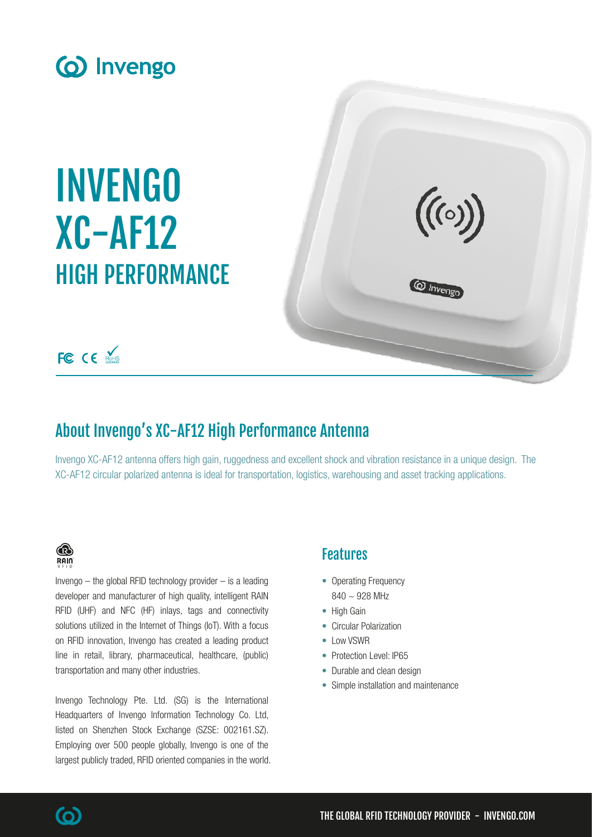

# INVENGO XC-AF12 HIGH PERFORMANCE



# FC CE ROHS

# About Invengo's XC-AF12 High Performance Antenna

Invengo XC-AF12 antenna offers high gain, ruggedness and excellent shock and vibration resistance in a unique design. The XC-AF12 circular polarized antenna is ideal for transportation, logistics, warehousing and asset tracking applications.

### ® **RAIN**

Invengo  $-$  the global RFID technology provider  $-$  is a leading developer and manufacturer of high quality, intelligent RAIN RFID (UHF) and NFC (HF) inlays, tags and connectivity solutions utilized in the Internet of Things (IoT). With a focus on RFID innovation, Invengo has created a leading product line in retail, library, pharmaceutical, healthcare, (public) transportation and many other industries.

Invengo Technology Pte. Ltd. (SG) is the International Headquarters of Invengo Information Technology Co. Ltd, listed on Shenzhen Stock Exchange (SZSE: 002161.SZ). Employing over 500 people globally, Invengo is one of the largest publicly traded, RFID oriented companies in the world.

### Features

- Operating Frequency  $840 \sim 928$  MHz
- High Gain
- Circular Polarization
- Low VSWR
- Protection Level: IP65
- Durable and clean design
- Simple installation and maintenance